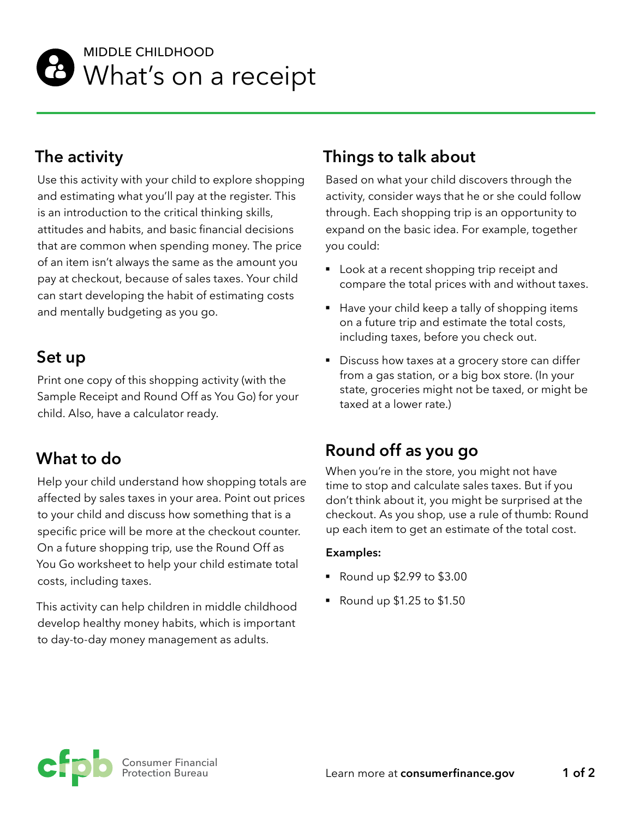

## MIDDLE CHILDHOOD **B** What's on a receipt

## **The activity**

Use this activity with your child to explore shopping and estimating what you'll pay at the register. This is an introduction to the critical thinking skills, attitudes and habits, and basic financial decisions that are common when spending money. The price of an item isn't always the same as the amount you pay at checkout, because of sales taxes. Your child can start developing the habit of estimating costs and mentally budgeting as you go.

## **Set up**

Print one copy of this shopping activity (with the Sample Receipt and Round Off as You Go) for your child. Also, have a calculator ready.

## **What to do**

Help your child understand how shopping totals are affected by sales taxes in your area. Point out prices to your child and discuss how something that is a specific price will be more at the checkout counter. On a future shopping trip, use the Round Off as You Go worksheet to help your child estimate total costs, including taxes.

This activity can help children in middle childhood develop healthy money habits, which is important to day-to-day money management as adults.

## **Things to talk about**

Based on what your child discovers through the activity, consider ways that he or she could follow through. Each shopping trip is an opportunity to expand on the basic idea. For example, together you could:

- Look at a recent shopping trip receipt and compare the total prices with and without taxes.
- Have your child keep a tally of shopping items on a future trip and estimate the total costs, including taxes, before you check out.
- § Discuss how taxes at a grocery store can differ from a gas station, or a big box store. (In your state, groceries might not be taxed, or might be taxed at a lower rate.)

## **Round off as you go**

When you're in the store, you might not have time to stop and calculate sales taxes. But if you don't think about it, you might be surprised at the checkout. As you shop, use a rule of thumb: Round up each item to get an estimate of the total cost.

#### **Examples:**

- § Round up \$2.99 to \$3.00
- § Round up \$1.25 to \$1.50

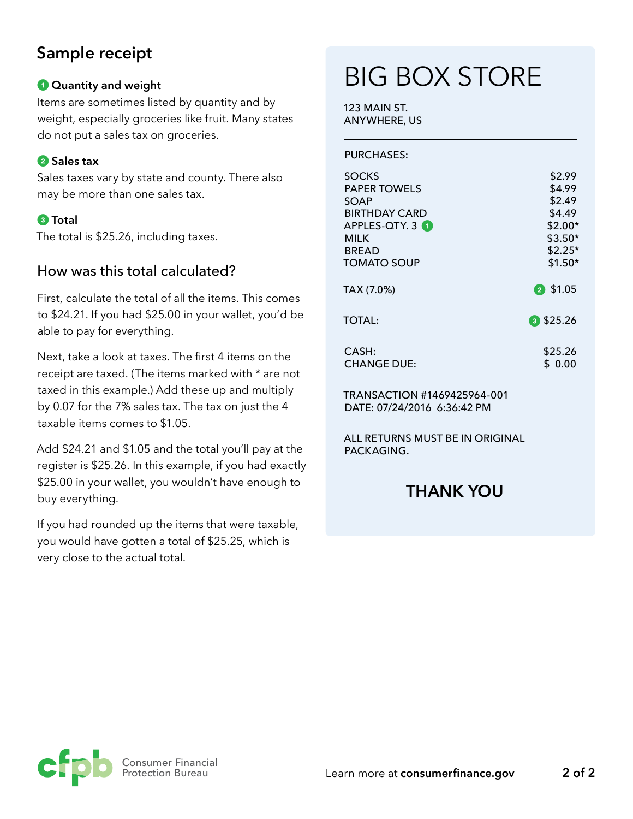## **Sample receipt**

#### *Quantity and weight*

Items are sometimes listed by quantity and by weight, especially groceries like fruit. Many states do not put a sales tax on groceries.

#### **2** Sales tax

Sales taxes vary by state and county. There also may be more than one sales tax.

#### **Total**

The total is \$25.26, including taxes.

#### How was this total calculated?

First, calculate the total of all the items. This comes to \$24.21. If you had \$25.00 in your wallet, you'd be able to pay for everything.

Next, take a look at taxes. The first 4 items on the receipt are taxed. (The items marked with \* are not taxed in this example.) Add these up and multiply by 0.07 for the 7% sales tax. The tax on just the 4 taxable items comes to \$1.05.

Add \$24.21 and \$1.05 and the total you'll pay at the register is \$25.26. In this example, if you had exactly \$25.00 in your wallet, you wouldn't have enough to buy everything.

If you had rounded up the items that were taxable, you would have gotten a total of \$25.25, which is very close to the actual total.

## BIG BOX STORE

123 MAIN ST. ANYWHERE, US

PURCHASES:

| <b>SOCKS</b>        | \$2.99      |
|---------------------|-------------|
| <b>PAPER TOWELS</b> | \$4.99      |
| SOAP                | \$2.49      |
| BIRTHDAY CARD       | \$4.49      |
| APPLES-QTY. 3 1     | $$2.00*$    |
| <b>MILK</b>         | $$3.50*$    |
| <b>BREAD</b>        | $$2.25*$    |
| <b>TOMATO SOUP</b>  | $$1.50*$    |
| TAX (7.0%)          | 2 \$1.05    |
| <b>TOTAL:</b>       | $3$ \$25.26 |
| CASH:               | \$25.26     |
| <b>CHANGE DUE:</b>  | S 0.00      |

TRANSACTION #1469425964-001 DATE: 07/24/2016 6:36:42 PM

ALL RETURNS MUST BE IN ORIGINAL PACKAGING.

### **THANK YOU**